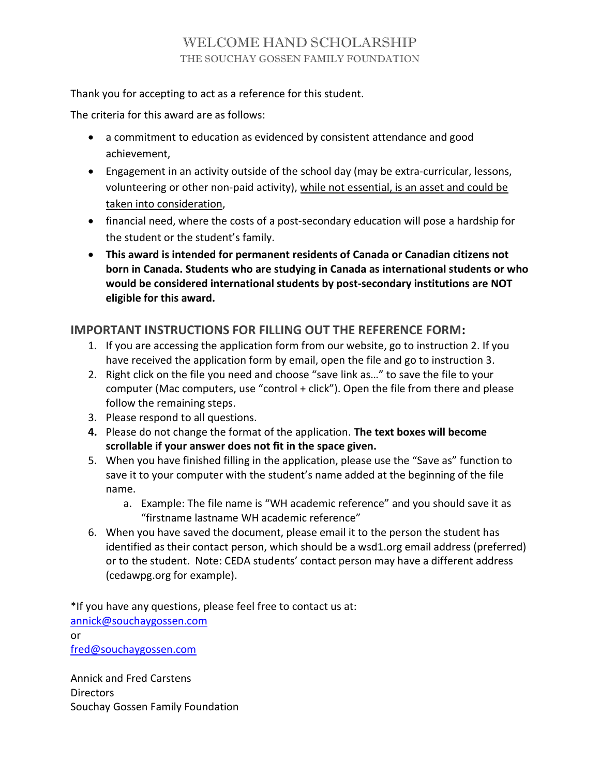# WELCOME HAND SCHOLARSHIP THE SOUCHAY GOSSEN FAMILY FOUNDATION

Thank you for accepting to act as a reference for this student.

The criteria for this award are as follows:

- a commitment to education as evidenced by consistent attendance and good achievement,
- Engagement in an activity outside of the school day (may be extra-curricular, lessons, volunteering or other non-paid activity), while not essential, is an asset and could be taken into consideration,
- financial need, where the costs of a post-secondary education will pose a hardship for the student or the student's family.
- This award is intended for permanent residents of Canada or Canadian citizens not born in Canada. Students who are studying in Canada as international students or who would be considered international students by post-secondary institutions are NOT eligible for this award.

## IMPORTANT INSTRUCTIONS FOR FILLING OUT THE REFERENCE FORM:

- 1. If you are accessing the application form from our website, go to instruction 2. If you have received the application form by email, open the file and go to instruction 3.
- 2. Right click on the file you need and choose "save link as…" to save the file to your computer (Mac computers, use "control + click"). Open the file from there and please follow the remaining steps.
- 3. Please respond to all questions.
- 4. Please do not change the format of the application. The text boxes will become scrollable if your answer does not fit in the space given.
- 5. When you have finished filling in the application, please use the "Save as" function to save it to your computer with the student's name added at the beginning of the file name.
	- a. Example: The file name is "WH academic reference" and you should save it as "firstname lastname WH academic reference"
- 6. When you have saved the document, please email it to the person the student has identified as their contact person, which should be a wsd1.org email address (preferred) or to the student. Note: CEDA students' contact person may have a different address (cedawpg.org for example).

\*If you have any questions, please feel free to contact us at: annick@souchaygossen.com or fred@souchaygossen.com

Annick and Fred Carstens Directors Souchay Gossen Family Foundation